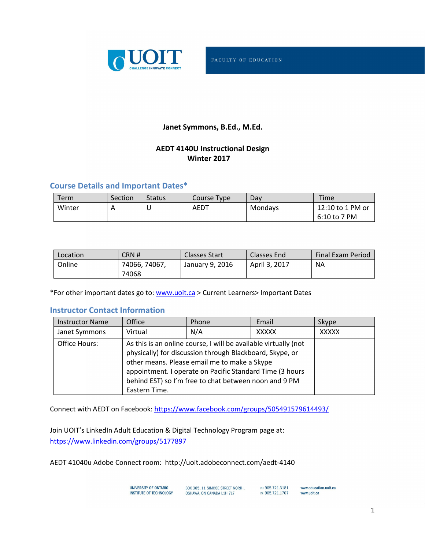

### **Janet Symmons, B.Ed., M.Ed.**

### **AEDT 4140U Instructional Design Winter 2017**

### **Course Details and Important Dates\***

| Term   | Section | <b>Status</b> | Course Type | Dav     | Time             |
|--------|---------|---------------|-------------|---------|------------------|
| Winter |         | ◡             | <b>AEDT</b> | Mondays | 12:10 to 1 PM or |
|        |         |               |             |         | 6:10 to 7 PM     |

| Location: | CRN #         | <b>Classes Start</b> | Classes End   | <b>Final Exam Period</b> |
|-----------|---------------|----------------------|---------------|--------------------------|
| Online    | 74066, 74067, | January 9, 2016      | April 3, 2017 | <b>NA</b>                |
|           | 74068         |                      |               |                          |

\*For other important dates go to: www.uoit.ca > Current Learners> Important Dates

### **Instructor Contact Information**

| <b>Instructor Name</b> | Office        | Phone                                                                                                                                                                                                                                                                                            | Email        | Skype        |
|------------------------|---------------|--------------------------------------------------------------------------------------------------------------------------------------------------------------------------------------------------------------------------------------------------------------------------------------------------|--------------|--------------|
| Janet Symmons          | Virtual       | N/A                                                                                                                                                                                                                                                                                              | <b>XXXXX</b> | <b>XXXXX</b> |
| Office Hours:          | Eastern Time. | As this is an online course, I will be available virtually (not<br>physically) for discussion through Blackboard, Skype, or<br>other means. Please email me to make a Skype<br>appointment. I operate on Pacific Standard Time (3 hours<br>behind EST) so I'm free to chat between noon and 9 PM |              |              |

Connect with AEDT on Facebook: https://www.facebook.com/groups/505491579614493/

Join UOIT's LinkedIn Adult Education & Digital Technology Program page at: https://www.linkedin.com/groups/5177897

AEDT 41040u Adobe Connect room: http://uoit.adobeconnect.com/aedt-4140

| UNIVERSITY OF ONTARIO   | BOX 385, 11 SIMCOE STREET NORTH. | PH 905.721.3181 | www.education.uoit.ca |
|-------------------------|----------------------------------|-----------------|-----------------------|
| INSTITUTE OF TECHNOLOGY | OSHAWA, ON CANADA L1H 7L7        | EX 905.721.1707 | www.uoit.ca           |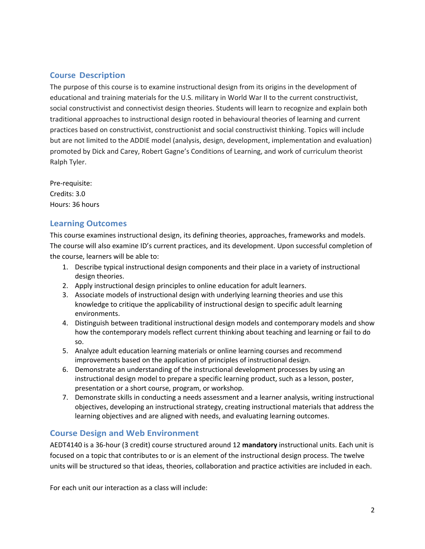## **Course Description**

The purpose of this course is to examine instructional design from its origins in the development of educational and training materials for the U.S. military in World War II to the current constructivist, social constructivist and connectivist design theories. Students will learn to recognize and explain both traditional approaches to instructional design rooted in behavioural theories of learning and current practices based on constructivist, constructionist and social constructivist thinking. Topics will include but are not limited to the ADDIE model (analysis, design, development, implementation and evaluation) promoted by Dick and Carey, Robert Gagne's Conditions of Learning, and work of curriculum theorist Ralph Tyler.

Pre-requisite: Credits: 3.0 Hours: 36 hours

### **Learning Outcomes**

This course examines instructional design, its defining theories, approaches, frameworks and models. The course will also examine ID's current practices, and its development. Upon successful completion of the course, learners will be able to:

- 1. Describe typical instructional design components and their place in a variety of instructional design theories.
- 2. Apply instructional design principles to online education for adult learners.
- 3. Associate models of instructional design with underlying learning theories and use this knowledge to critique the applicability of instructional design to specific adult learning environments.
- 4. Distinguish between traditional instructional design models and contemporary models and show how the contemporary models reflect current thinking about teaching and learning or fail to do so.
- 5. Analyze adult education learning materials or online learning courses and recommend improvements based on the application of principles of instructional design.
- 6. Demonstrate an understanding of the instructional development processes by using an instructional design model to prepare a specific learning product, such as a lesson, poster, presentation or a short course, program, or workshop.
- 7. Demonstrate skills in conducting a needs assessment and a learner analysis, writing instructional objectives, developing an instructional strategy, creating instructional materials that address the learning objectives and are aligned with needs, and evaluating learning outcomes.

## **Course Design and Web Environment**

AEDT4140 is a 36-hour (3 credit) course structured around 12 **mandatory** instructional units. Each unit is focused on a topic that contributes to or is an element of the instructional design process. The twelve units will be structured so that ideas, theories, collaboration and practice activities are included in each.

For each unit our interaction as a class will include: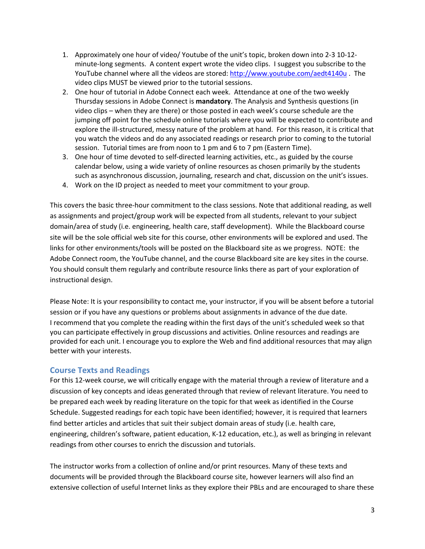- 1. Approximately one hour of video/ Youtube of the unit's topic, broken down into 2-3 10-12 minute-long segments. A content expert wrote the video clips. I suggest you subscribe to the YouTube channel where all the videos are stored: http://www.youtube.com/aedt4140u . The video clips MUST be viewed prior to the tutorial sessions.
- 2. One hour of tutorial in Adobe Connect each week. Attendance at one of the two weekly Thursday sessions in Adobe Connect is **mandatory**. The Analysis and Synthesis questions (in video clips – when they are there) or those posted in each week's course schedule are the jumping off point for the schedule online tutorials where you will be expected to contribute and explore the ill-structured, messy nature of the problem at hand. For this reason, it is critical that you watch the videos and do any associated readings or research prior to coming to the tutorial session. Tutorial times are from noon to 1 pm and 6 to 7 pm (Eastern Time).
- 3. One hour of time devoted to self-directed learning activities, etc., as guided by the course calendar below, using a wide variety of online resources as chosen primarily by the students such as asynchronous discussion, journaling, research and chat, discussion on the unit's issues.
- 4. Work on the ID project as needed to meet your commitment to your group.

This covers the basic three-hour commitment to the class sessions. Note that additional reading, as well as assignments and project/group work will be expected from all students, relevant to your subject domain/area of study (i.e. engineering, health care, staff development). While the Blackboard course site will be the sole official web site for this course, other environments will be explored and used. The links for other environments/tools will be posted on the Blackboard site as we progress. NOTE: the Adobe Connect room, the YouTube channel, and the course Blackboard site are key sites in the course. You should consult them regularly and contribute resource links there as part of your exploration of instructional design.

Please Note: It is your responsibility to contact me, your instructor, if you will be absent before a tutorial session or if you have any questions or problems about assignments in advance of the due date. I recommend that you complete the reading within the first days of the unit's scheduled week so that you can participate effectively in group discussions and activities. Online resources and readings are provided for each unit. I encourage you to explore the Web and find additional resources that may align better with your interests.

### **Course Texts and Readings**

For this 12-week course, we will critically engage with the material through a review of literature and a discussion of key concepts and ideas generated through that review of relevant literature. You need to be prepared each week by reading literature on the topic for that week as identified in the Course Schedule. Suggested readings for each topic have been identified; however, it is required that learners find better articles and articles that suit their subject domain areas of study (i.e. health care, engineering, children's software, patient education, K-12 education, etc.), as well as bringing in relevant readings from other courses to enrich the discussion and tutorials.

The instructor works from a collection of online and/or print resources. Many of these texts and documents will be provided through the Blackboard course site, however learners will also find an extensive collection of useful Internet links as they explore their PBLs and are encouraged to share these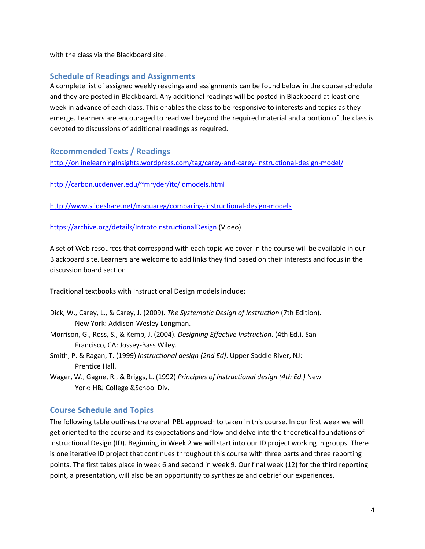with the class via the Blackboard site.

## **Schedule of Readings and Assignments**

A complete list of assigned weekly readings and assignments can be found below in the course schedule and they are posted in Blackboard. Any additional readings will be posted in Blackboard at least one week in advance of each class. This enables the class to be responsive to interests and topics as they emerge. Learners are encouraged to read well beyond the required material and a portion of the class is devoted to discussions of additional readings as required.

### **Recommended Texts / Readings**

http://onlinelearninginsights.wordpress.com/tag/carey-and-carey-instructional-design-model/

http://carbon.ucdenver.edu/~mryder/itc/idmodels.html

http://www.slideshare.net/msquareg/comparing-instructional-design-models

https://archive.org/details/IntrotoInstructionalDesign (Video)

A set of Web resources that correspond with each topic we cover in the course will be available in our Blackboard site. Learners are welcome to add links they find based on their interests and focus in the discussion board section

Traditional textbooks with Instructional Design models include:

- Dick, W., Carey, L., & Carey, J. (2009). *The Systematic Design of Instruction* (7th Edition). New York: Addison-Wesley Longman.
- Morrison, G., Ross, S., & Kemp, J. (2004). *Designing Effective Instruction*. (4th Ed.). San Francisco, CA: Jossey-Bass Wiley.
- Smith, P. & Ragan, T. (1999) *Instructional design (2nd Ed)*. Upper Saddle River, NJ: Prentice Hall.
- Wager, W., Gagne, R., & Briggs, L. (1992) *Principles of instructional design (4th Ed.)* New York: HBJ College &School Div.

## **Course Schedule and Topics**

The following table outlines the overall PBL approach to taken in this course. In our first week we will get oriented to the course and its expectations and flow and delve into the theoretical foundations of Instructional Design (ID). Beginning in Week 2 we will start into our ID project working in groups. There is one iterative ID project that continues throughout this course with three parts and three reporting points. The first takes place in week 6 and second in week 9. Our final week (12) for the third reporting point, a presentation, will also be an opportunity to synthesize and debrief our experiences.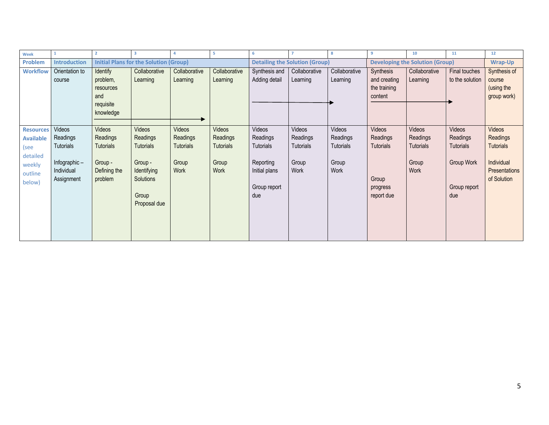| Week             |                     | $\overline{2}$   | 3                                             | Δ                | -5            | -6            |                                       | 8                | 9                                      | 10            | 11               | 12               |
|------------------|---------------------|------------------|-----------------------------------------------|------------------|---------------|---------------|---------------------------------------|------------------|----------------------------------------|---------------|------------------|------------------|
| Problem          | <b>Introduction</b> |                  | <b>Initial Plans for the Solution (Group)</b> |                  |               |               | <b>Detailing the Solution (Group)</b> |                  | <b>Developing the Solution (Group)</b> |               |                  | Wrap-Up          |
| <b>Workflow</b>  | Orientation to      | <b>Identify</b>  | Collaborative                                 | Collaborative    | Collaborative | Synthesis and | Collaborative                         | Collaborative    | Synthesis                              | Collaborative | Final touches    | Synthesis of     |
|                  | course              | problem,         | Learning                                      | Learning         | Learning      | Adding detail | Learning                              | Learning         | and creating                           | Learning      | to the solution  | course           |
|                  |                     | resources        |                                               |                  |               |               |                                       |                  | the training                           |               |                  | (using the       |
|                  |                     | and              |                                               |                  |               |               |                                       |                  | content                                |               |                  | group work)      |
|                  |                     | requisite        |                                               |                  |               |               |                                       |                  |                                        |               |                  |                  |
|                  |                     | knowledge        |                                               |                  |               |               |                                       |                  |                                        |               |                  |                  |
|                  |                     |                  |                                               |                  |               |               |                                       |                  |                                        |               |                  |                  |
| <b>Resources</b> | Videos              | Videos           | Videos                                        | Videos           | <b>Videos</b> | Videos        | Videos                                | Videos           | Videos                                 | Videos        | Videos           | Videos           |
| <b>Available</b> | Readings            | Readings         | Readings                                      | Readings         | Readings      | Readings      | Readings                              | Readings         | Readings                               | Readings      | Readings         | Readings         |
| (see             | Tutorials           | <b>Tutorials</b> | <b>Tutorials</b>                              | <b>Tutorials</b> | Tutorials     | Tutorials     | Tutorials                             | <b>Tutorials</b> | <b>Tutorials</b>                       | Tutorials     | <b>Tutorials</b> | <b>Tutorials</b> |
| detailed         |                     |                  |                                               |                  |               |               |                                       |                  |                                        |               |                  |                  |
| weekly           | Infographic $-$     | Group -          | Group -                                       | Group            | Group         | Reporting     | Group                                 | Group            |                                        | Group         | Group Work       | Individual       |
| outline          | Individual          | Defining the     | <b>Identifying</b>                            | Work             | Work          | Initial plans | Work                                  | Work             |                                        | Work          |                  | Presentations    |
| below)           | Assignment          | problem          | Solutions                                     |                  |               |               |                                       |                  | Group                                  |               |                  | of Solution      |
|                  |                     |                  |                                               |                  |               | Group report  |                                       |                  | progress                               |               | Group report     |                  |
|                  |                     |                  | Group                                         |                  |               | due           |                                       |                  | report due                             |               | due              |                  |
|                  |                     |                  | Proposal due                                  |                  |               |               |                                       |                  |                                        |               |                  |                  |
|                  |                     |                  |                                               |                  |               |               |                                       |                  |                                        |               |                  |                  |
|                  |                     |                  |                                               |                  |               |               |                                       |                  |                                        |               |                  |                  |
|                  |                     |                  |                                               |                  |               |               |                                       |                  |                                        |               |                  |                  |
|                  |                     |                  |                                               |                  |               |               |                                       |                  |                                        |               |                  |                  |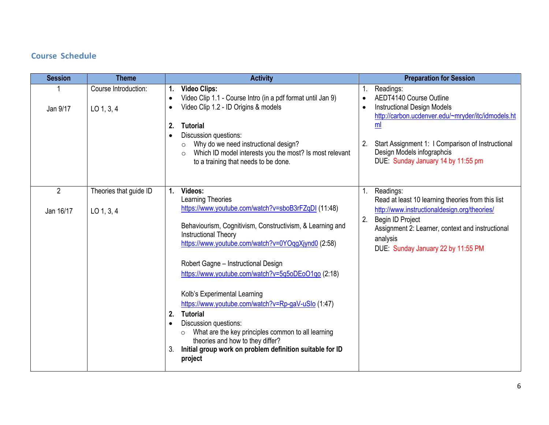## **Course Schedule**

| <b>Session</b>              | <b>Theme</b>                         | <b>Activity</b>                                                                                                                                                                                                                                                                                                                                                                                                                                                                                                                                                                                                                                                      | <b>Preparation for Session</b>                                                                                                                                                                                                                                              |
|-----------------------------|--------------------------------------|----------------------------------------------------------------------------------------------------------------------------------------------------------------------------------------------------------------------------------------------------------------------------------------------------------------------------------------------------------------------------------------------------------------------------------------------------------------------------------------------------------------------------------------------------------------------------------------------------------------------------------------------------------------------|-----------------------------------------------------------------------------------------------------------------------------------------------------------------------------------------------------------------------------------------------------------------------------|
| Jan 9/17                    | Course Introduction:<br>$LO$ 1, 3, 4 | <b>Video Clips:</b><br>1.<br>Video Clip 1.1 - Course Intro (in a pdf format until Jan 9)<br>$\bullet$<br>Video Clip 1.2 - ID Origins & models<br>$\bullet$<br>2.<br><b>Tutorial</b><br>Discussion questions:<br>$\bullet$<br>Why do we need instructional design?<br>$\circ$<br>Which ID model interests you the most? Is most relevant<br>$\circ$<br>to a training that needs to be done.                                                                                                                                                                                                                                                                           | Readings:<br>1.<br>AEDT4140 Course Outline<br><b>Instructional Design Models</b><br>http://carbon.ucdenver.edu/~mryder/itc/idmodels.ht<br>ml<br>Start Assignment 1: I Comparison of Instructional<br>2.<br>Design Models infographcis<br>DUE: Sunday January 14 by 11:55 pm |
| $\overline{2}$<br>Jan 16/17 | Theories that guide ID<br>LO 1, 3, 4 | Videos:<br>1.<br>Learning Theories<br>https://www.youtube.com/watch?v=sboB3rFZqDI (11:48)<br>Behaviourism, Cognitivism, Constructivism, & Learning and<br><b>Instructional Theory</b><br>https://www.youtube.com/watch?v=0YOqgXjynd0 (2:58)<br>Robert Gagne - Instructional Design<br>https://www.youtube.com/watch?v=5q5oDEoO1qo (2:18)<br>Kolb's Experimental Learning<br>https://www.youtube.com/watch?v=Rp-gaV-uSlo (1:47)<br><b>Tutorial</b><br>2.<br>Discussion questions:<br>$\bullet$<br>What are the key principles common to all learning<br>$\circ$<br>theories and how to they differ?<br>Initial group work on problem definition suitable for ID<br>3. | Readings:<br>1.<br>Read at least 10 learning theories from this list<br>http://www.instructionaldesign.org/theories/<br>Begin ID Project<br>2.<br>Assignment 2: Learner, context and instructional<br>analysis<br>DUE: Sunday January 22 by 11:55 PM                        |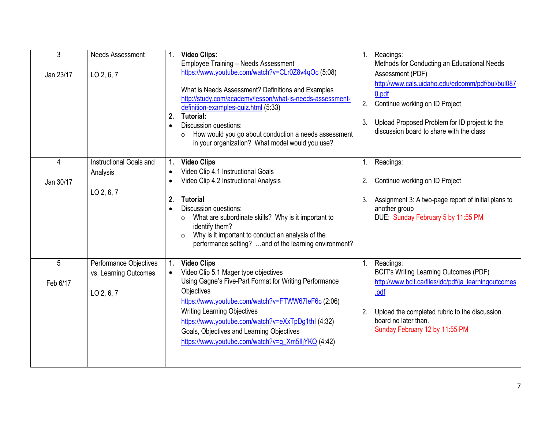| 3<br>Jan 23/17 | <b>Needs Assessment</b><br>LO 2, 6, 7                         | <b>Video Clips:</b><br>1.<br><b>Employee Training - Needs Assessment</b><br>https://www.youtube.com/watch?v=CLr0Z8v4qOc (5:08)<br>What is Needs Assessment? Definitions and Examples<br>http://study.com/academy/lesson/what-is-needs-assessment-<br>definition-examples-quiz.html (5:33)<br><b>Tutorial:</b><br>2.<br>Discussion questions:<br>$\bullet$<br>How would you go about conduction a needs assessment<br>$\Omega$<br>in your organization? What model would you use? | 1 <sub>1</sub><br>2.<br>3. | Readings:<br>Methods for Conducting an Educational Needs<br>Assessment (PDF)<br>http://www.cals.uidaho.edu/edcomm/pdf/bul/bul087<br>0.pdf<br>Continue working on ID Project<br>Upload Proposed Problem for ID project to the<br>discussion board to share with the class |
|----------------|---------------------------------------------------------------|----------------------------------------------------------------------------------------------------------------------------------------------------------------------------------------------------------------------------------------------------------------------------------------------------------------------------------------------------------------------------------------------------------------------------------------------------------------------------------|----------------------------|--------------------------------------------------------------------------------------------------------------------------------------------------------------------------------------------------------------------------------------------------------------------------|
| 4<br>Jan 30/17 | Instructional Goals and<br>Analysis                           | <b>Video Clips</b><br>1.<br>Video Clip 4.1 Instructional Goals<br>Video Clip 4.2 Instructional Analysis                                                                                                                                                                                                                                                                                                                                                                          | 1.<br>2.                   | Readings:<br>Continue working on ID Project                                                                                                                                                                                                                              |
|                | LO 2, 6, 7                                                    | <b>Tutorial</b><br>2.<br>Discussion questions:<br>What are subordinate skills? Why is it important to<br>$\circ$<br>identify them?<br>Why is it important to conduct an analysis of the<br>$\circ$<br>performance setting? and of the learning environment?                                                                                                                                                                                                                      | 3.                         | Assignment 3: A two-page report of initial plans to<br>another group<br>DUE: Sunday February 5 by 11:55 PM                                                                                                                                                               |
| 5<br>Feb 6/17  | Performance Objectives<br>vs. Learning Outcomes<br>LO 2, 6, 7 | <b>Video Clips</b><br>1.<br>Video Clip 5.1 Mager type objectives<br>Using Gagne's Five-Part Format for Writing Performance<br>Objectives<br>https://www.youtube.com/watch?v=FTWW67leF6c (2:06)<br><b>Writing Learning Objectives</b><br>https://www.youtube.com/watch?v=eXxTpDg1thl (4:32)<br>Goals, Objectives and Learning Objectives<br>https://www.youtube.com/watch?v=g_Xm5lljYKQ (4:42)                                                                                    | 1 <sub>1</sub><br>2.       | Readings:<br><b>BCIT's Writing Learning Outcomes (PDF)</b><br>http://www.bcit.ca/files/idc/pdf/ja learningoutcomes<br>.pdf<br>Upload the completed rubric to the discussion<br>board no later than.<br>Sunday February 12 by 11:55 PM                                    |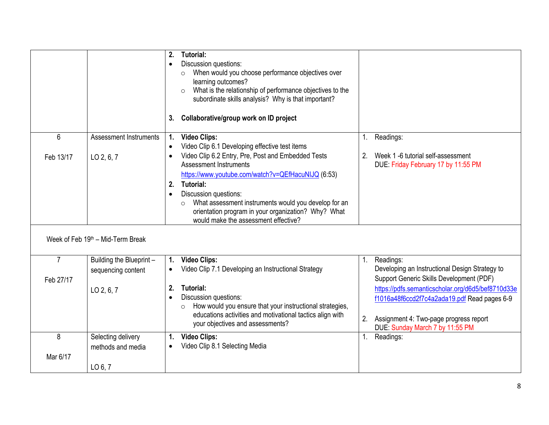|                             |                                                | <b>Tutorial:</b><br>2.<br>Discussion questions:<br>$\bullet$<br>When would you choose performance objectives over<br>$\circ$<br>learning outcomes?<br>What is the relationship of performance objectives to the<br>$\circ$<br>subordinate skills analysis? Why is that important?<br>Collaborative/group work on ID project<br>3.                                                        |                                                                                                                                                                                      |
|-----------------------------|------------------------------------------------|------------------------------------------------------------------------------------------------------------------------------------------------------------------------------------------------------------------------------------------------------------------------------------------------------------------------------------------------------------------------------------------|--------------------------------------------------------------------------------------------------------------------------------------------------------------------------------------|
| 6                           | <b>Assessment Instruments</b>                  | <b>Video Clips:</b><br>$\mathbf{1}$ .<br>Video Clip 6.1 Developing effective test items<br>$\bullet$                                                                                                                                                                                                                                                                                     | Readings:<br>1 <sub>1</sub>                                                                                                                                                          |
| Feb 13/17                   | LO 2, 6, 7                                     | Video Clip 6.2 Entry, Pre, Post and Embedded Tests<br>$\bullet$<br><b>Assessment Instruments</b><br>https://www.youtube.com/watch?v=QEfHacuNIJQ (6:53)<br><b>Tutorial:</b><br>2.<br>Discussion questions:<br>$\bullet$<br>What assessment instruments would you develop for an<br>$\circ$<br>orientation program in your organization? Why? What<br>would make the assessment effective? | Week 1 -6 tutorial self-assessment<br>2.<br>DUE: Friday February 17 by 11:55 PM                                                                                                      |
|                             | Week of Feb 19th - Mid-Term Break              |                                                                                                                                                                                                                                                                                                                                                                                          |                                                                                                                                                                                      |
| $\overline{7}$<br>Feb 27/17 | Building the Blueprint -<br>sequencing content | <b>Video Clips:</b><br>$\mathbf{1}$ .<br>Video Clip 7.1 Developing an Instructional Strategy                                                                                                                                                                                                                                                                                             | Readings:<br>1.<br>Developing an Instructional Design Strategy to<br>Support Generic Skills Development (PDF)                                                                        |
|                             | LO 2, 6, 7                                     | 2.<br><b>Tutorial:</b><br>Discussion questions:<br>$\bullet$<br>How would you ensure that your instructional strategies,<br>$\circ$<br>educations activities and motivational tactics align with<br>your objectives and assessments?                                                                                                                                                     | https://pdfs.semanticscholar.org/d6d5/bef8710d33e<br>f1016a48f6ccd2f7c4a2ada19.pdf Read pages 6-9<br>Assignment 4: Two-page progress report<br>2.<br>DUE: Sunday March 7 by 11:55 PM |
| 8<br>Mar 6/17               | Selecting delivery<br>methods and media        | <b>Video Clips:</b><br>$\mathbf{1}$ .<br>Video Clip 8.1 Selecting Media<br>$\bullet$                                                                                                                                                                                                                                                                                                     | Readings:<br>1.                                                                                                                                                                      |
|                             | LO 6, 7                                        |                                                                                                                                                                                                                                                                                                                                                                                          |                                                                                                                                                                                      |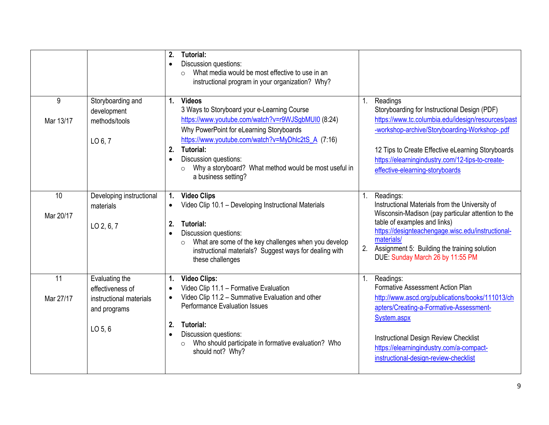|                 |                                                                                                    | <b>Tutorial:</b><br>2.<br>Discussion questions:<br>$\bullet$<br>What media would be most effective to use in an<br>$\circ$<br>instructional program in your organization? Why?                                                                                                                                                                                                        |          |                                                                                                                                                                                                                                                                                                             |
|-----------------|----------------------------------------------------------------------------------------------------|---------------------------------------------------------------------------------------------------------------------------------------------------------------------------------------------------------------------------------------------------------------------------------------------------------------------------------------------------------------------------------------|----------|-------------------------------------------------------------------------------------------------------------------------------------------------------------------------------------------------------------------------------------------------------------------------------------------------------------|
| 9<br>Mar 13/17  | Storyboarding and<br>development<br>methods/tools<br>LO $6, 7$                                     | <b>Videos</b><br>1.<br>3 Ways to Storyboard your e-Learning Course<br>https://www.youtube.com/watch?v=r9WJSgbMUI0 (8:24)<br>Why PowerPoint for eLearning Storyboards<br>https://www.youtube.com/watch?v=MyDhlc2tS_A (7:16)<br><b>Tutorial:</b><br>2.<br>Discussion questions:<br>$\bullet$<br>Why a storyboard? What method would be most useful in<br>$\circ$<br>a business setting? | 1.       | Readings<br>Storyboarding for Instructional Design (PDF)<br>https://www.tc.columbia.edu/idesign/resources/past<br>-workshop-archive/Storyboarding-Workshop-.pdf<br>12 Tips to Create Effective eLearning Storyboards<br>https://elearningindustry.com/12-tips-to-create-<br>effective-elearning-storyboards |
| 10<br>Mar 20/17 | Developing instructional<br>materials<br>LO 2, 6, 7                                                | <b>Video Clips</b><br>1.<br>Video Clip 10.1 - Developing Instructional Materials<br>2.<br><b>Tutorial:</b><br>Discussion questions:<br>$\bullet$<br>What are some of the key challenges when you develop<br>$\circ$<br>instructional materials? Suggest ways for dealing with<br>these challenges                                                                                     | 1.<br>2. | Readings:<br>Instructional Materials from the University of<br>Wisconsin-Madison (pay particular attention to the<br>table of examples and links)<br>https://designteachengage.wisc.edu/instructional-<br>materials/<br>Assignment 5: Building the training solution<br>DUE: Sunday March 26 by 11:55 PM    |
| 11<br>Mar 27/17 | Evaluating the<br>effectiveness of<br>instructional materials<br>and programs<br>LO <sub>5,6</sub> | <b>Video Clips:</b><br>1.<br>Video Clip 11.1 - Formative Evaluation<br>$\bullet$<br>Video Clip 11.2 - Summative Evaluation and other<br>$\bullet$<br><b>Performance Evaluation Issues</b><br>2.<br>Tutorial:<br>Discussion questions:<br>$\bullet$<br>Who should participate in formative evaluation? Who<br>$\circ$<br>should not? Why?                                              | 1.       | Readings:<br>Formative Assessment Action Plan<br>http://www.ascd.org/publications/books/111013/ch<br>apters/Creating-a-Formative-Assessment-<br>System.aspx<br>Instructional Design Review Checklist<br>https://elearningindustry.com/a-compact-<br>instructional-design-review-checklist                   |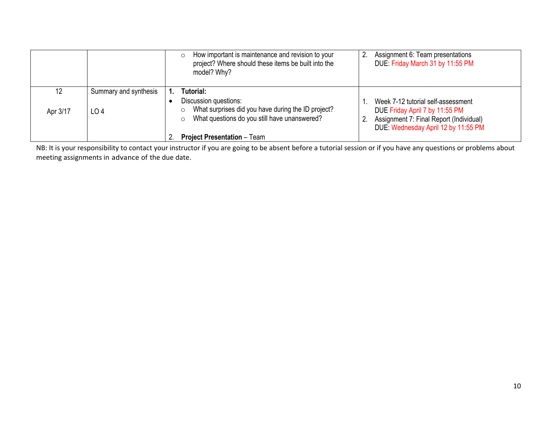|          |                       | How important is maintenance and revision to your<br>$\circ$<br>project? Where should these items be built into the<br>model? Why?     | Assignment 6: Team presentations<br>DUE: Friday March 31 by 11:55 PM                                                                                   |
|----------|-----------------------|----------------------------------------------------------------------------------------------------------------------------------------|--------------------------------------------------------------------------------------------------------------------------------------------------------|
| 12       | Summary and synthesis | Tutorial:                                                                                                                              |                                                                                                                                                        |
| Apr 3/17 | LO <sub>4</sub>       | Discussion questions:<br>What surprises did you have during the ID project?<br>$\circ$<br>What questions do you still have unanswered? | Week 7-12 tutorial self-assessment<br>DUE Friday April 7 by 11:55 PM<br>Assignment 7: Final Report (Individual)<br>DUE: Wednesday April 12 by 11:55 PM |
|          |                       | <b>Project Presentation - Team</b>                                                                                                     |                                                                                                                                                        |

NB: It is your responsibility to contact your instructor if you are going to be absent before a tutorial session or if you have any questions or problems about meeting assignments in advance of the due date.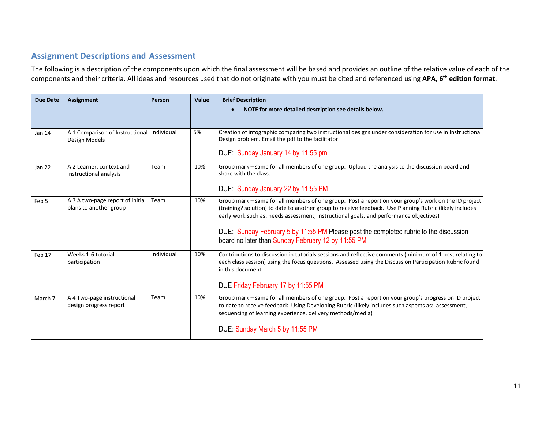## **Assignment Descriptions and Assessment**

The following is a description of the components upon which the final assessment will be based and provides an outline of the relative value of each of the components and their criteria. All ideas and resources used that do not originate with you must be cited and referenced using **APA, 6th edition format**.

| <b>Due Date</b> | <b>Assignment</b>                                           | Person     | Value | <b>Brief Description</b><br>NOTE for more detailed description see details below.                                                                                                                                                                                                                         |
|-----------------|-------------------------------------------------------------|------------|-------|-----------------------------------------------------------------------------------------------------------------------------------------------------------------------------------------------------------------------------------------------------------------------------------------------------------|
|                 |                                                             |            |       |                                                                                                                                                                                                                                                                                                           |
| <b>Jan 14</b>   | A 1 Comparison of Instructional Individual<br>Design Models |            | 5%    | Creation of infographic comparing two instructional designs under consideration for use in Instructional<br>Design problem. Email the pdf to the facilitator                                                                                                                                              |
|                 |                                                             |            |       | DUE: Sunday January 14 by 11:55 pm                                                                                                                                                                                                                                                                        |
| <b>Jan 22</b>   | A 2 Learner, context and<br>instructional analysis          | Team       | 10%   | Group mark – same for all members of one group. Upload the analysis to the discussion board and<br>share with the class.                                                                                                                                                                                  |
|                 |                                                             |            |       | DUE: Sunday January 22 by 11:55 PM                                                                                                                                                                                                                                                                        |
| Feb 5           | A 3 A two-page report of initial<br>plans to another group  | Team       | 10%   | Group mark – same for all members of one group. Post a report on your group's work on the ID project<br>(training? solution) to date to another group to receive feedback. Use Planning Rubric (likely includes<br>early work such as: needs assessment, instructional goals, and performance objectives) |
|                 |                                                             |            |       | DUE: Sunday February 5 by 11:55 PM Please post the completed rubric to the discussion<br>board no later than Sunday February 12 by 11:55 PM                                                                                                                                                               |
| Feb 17          | Weeks 1-6 tutorial<br>participation                         | Individual | 10%   | Contributions to discussion in tutorials sessions and reflective comments (minimum of 1 post relating to<br>each class session) using the focus questions. Assessed using the Discussion Participation Rubric found<br>in this document.                                                                  |
|                 |                                                             |            |       | DUE Friday February 17 by 11:55 PM                                                                                                                                                                                                                                                                        |
| March 7         | A 4 Two-page instructional<br>design progress report        | Team       | 10%   | Group mark – same for all members of one group. Post a report on your group's progress on ID project<br>to date to receive feedback. Using Developing Rubric (likely includes such aspects as: assessment,<br>sequencing of learning experience, delivery methods/media)                                  |
|                 |                                                             |            |       | DUE: Sunday March 5 by 11:55 PM                                                                                                                                                                                                                                                                           |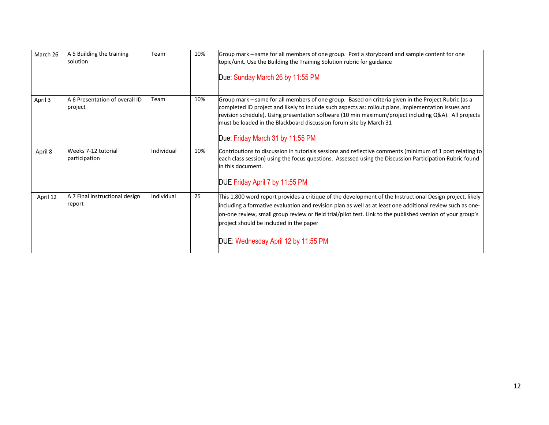| March 26 | A 5 Building the training<br>solution     | Team       | 10% | Group mark - same for all members of one group. Post a storyboard and sample content for one<br>topic/unit. Use the Building the Training Solution rubric for guidance                                                                                                                                                                                                                                                        |
|----------|-------------------------------------------|------------|-----|-------------------------------------------------------------------------------------------------------------------------------------------------------------------------------------------------------------------------------------------------------------------------------------------------------------------------------------------------------------------------------------------------------------------------------|
|          |                                           |            |     | Due: Sunday March 26 by 11:55 PM                                                                                                                                                                                                                                                                                                                                                                                              |
| April 3  | A 6 Presentation of overall ID<br>project | Team       | 10% | Group mark – same for all members of one group. Based on criteria given in the Project Rubric (as a<br>completed ID project and likely to include such aspects as: rollout plans, implementation issues and<br>revision schedule). Using presentation software (10 min maximum/project including Q&A). All projects<br>must be loaded in the Blackboard discussion forum site by March 31<br>Due: Friday March 31 by 11:55 PM |
| April 8  | Weeks 7-12 tutorial<br>participation      | Individual | 10% | Contributions to discussion in tutorials sessions and reflective comments (minimum of 1 post relating to<br>each class session) using the focus questions. Assessed using the Discussion Participation Rubric found<br>in this document.<br>DUE Friday April 7 by 11:55 PM                                                                                                                                                    |
| April 12 | A 7 Final instructional design<br>report  | Individual | 25  | This 1,800 word report provides a critique of the development of the Instructional Design project, likely<br>including a formative evaluation and revision plan as well as at least one additional review such as one-<br>on-one review, small group review or field trial/pilot test. Link to the published version of your group's<br>project should be included in the paper                                               |
|          |                                           |            |     | DUE: Wednesday April 12 by 11:55 PM                                                                                                                                                                                                                                                                                                                                                                                           |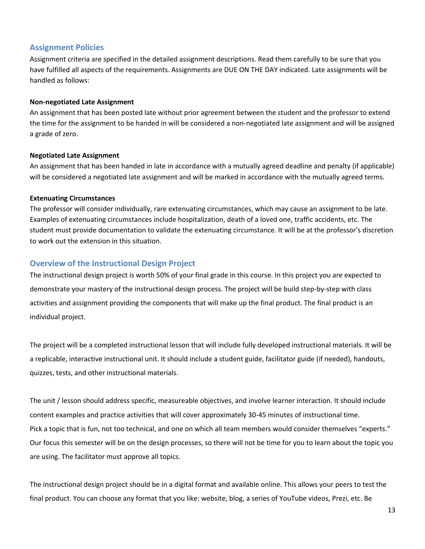### **Assignment Policies**

Assignment criteria are specified in the detailed assignment descriptions. Read them carefully to be sure that you have fulfilled all aspects of the requirements. Assignments are DUE ON THE DAY indicated. Late assignments will be handled as follows:

### **Non-negotiated Late Assignment**

An assignment that has been posted late without prior agreement between the student and the professor to extend the time for the assignment to be handed in will be considered a non-negotiated late assignment and will be assigned a grade of zero.

### **Negotiated Late Assignment**

An assignment that has been handed in late in accordance with a mutually agreed deadline and penalty (if applicable) will be considered a negotiated late assignment and will be marked in accordance with the mutually agreed terms.

### **Extenuating Circumstances**

The professor will consider individually, rare extenuating circumstances, which may cause an assignment to be late. Examples of extenuating circumstances include hospitalization, death of a loved one, traffic accidents, etc. The student must provide documentation to validate the extenuating circumstance. It will be at the professor's discretion to work out the extension in this situation.

## **Overview of the Instructional Design Project**

The instructional design project is worth 50% of your final grade in this course. In this project you are expected to demonstrate your mastery of the instructional design process. The project will be build step-by-step with class activities and assignment providing the components that will make up the final product. The final product is an individual project.

The project will be a completed instructional lesson that will include fully developed instructional materials. It will be a replicable, interactive instructional unit. It should include a student guide, facilitator guide (if needed), handouts, quizzes, tests, and other instructional materials.

The unit / lesson should address specific, measureable objectives, and involve learner interaction. It should include content examples and practice activities that will cover approximately 30-45 minutes of instructional time. Pick a topic that is fun, not too technical, and one on which all team members would consider themselves "experts." Our focus this semester will be on the design processes, so there will not be time for you to learn about the topic you are using. The facilitator must approve all topics.

The instructional design project should be in a digital format and available online. This allows your peers to test the final product. You can choose any format that you like: website, blog, a series of YouTube videos, Prezi, etc. Be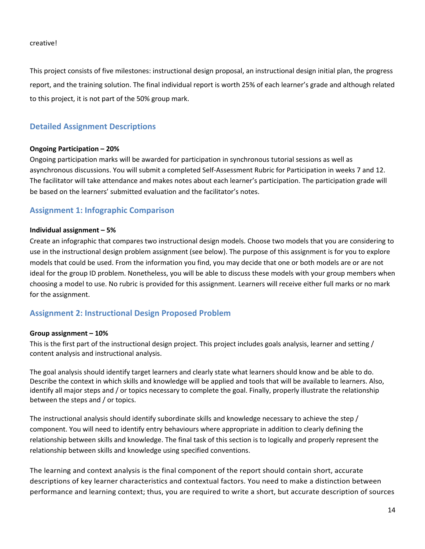creative!

This project consists of five milestones: instructional design proposal, an instructional design initial plan, the progress report, and the training solution. The final individual report is worth 25% of each learner's grade and although related to this project, it is not part of the 50% group mark.

### **Detailed Assignment Descriptions**

#### **Ongoing Participation – 20%**

Ongoing participation marks will be awarded for participation in synchronous tutorial sessions as well as asynchronous discussions. You will submit a completed Self-Assessment Rubric for Participation in weeks 7 and 12. The facilitator will take attendance and makes notes about each learner's participation. The participation grade will be based on the learners' submitted evaluation and the facilitator's notes.

### **Assignment 1: Infographic Comparison**

#### **Individual assignment – 5%**

Create an infographic that compares two instructional design models. Choose two models that you are considering to use in the instructional design problem assignment (see below). The purpose of this assignment is for you to explore models that could be used. From the information you find, you may decide that one or both models are or are not ideal for the group ID problem. Nonetheless, you will be able to discuss these models with your group members when choosing a model to use. No rubric is provided for this assignment. Learners will receive either full marks or no mark for the assignment.

### **Assignment 2: Instructional Design Proposed Problem**

#### **Group assignment – 10%**

This is the first part of the instructional design project. This project includes goals analysis, learner and setting / content analysis and instructional analysis.

The goal analysis should identify target learners and clearly state what learners should know and be able to do. Describe the context in which skills and knowledge will be applied and tools that will be available to learners. Also, identify all major steps and / or topics necessary to complete the goal. Finally, properly illustrate the relationship between the steps and / or topics.

The instructional analysis should identify subordinate skills and knowledge necessary to achieve the step / component. You will need to identify entry behaviours where appropriate in addition to clearly defining the relationship between skills and knowledge. The final task of this section is to logically and properly represent the relationship between skills and knowledge using specified conventions.

The learning and context analysis is the final component of the report should contain short, accurate descriptions of key learner characteristics and contextual factors. You need to make a distinction between performance and learning context; thus, you are required to write a short, but accurate description of sources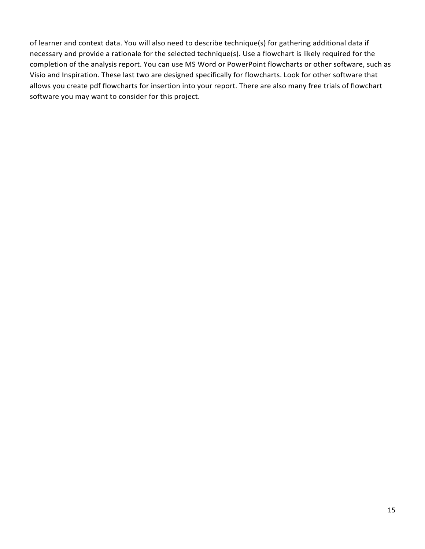of learner and context data. You will also need to describe technique(s) for gathering additional data if necessary and provide a rationale for the selected technique(s). Use a flowchart is likely required for the completion of the analysis report. You can use MS Word or PowerPoint flowcharts or other software, such as Visio and Inspiration. These last two are designed specifically for flowcharts. Look for other software that allows you create pdf flowcharts for insertion into your report. There are also many free trials of flowchart software you may want to consider for this project.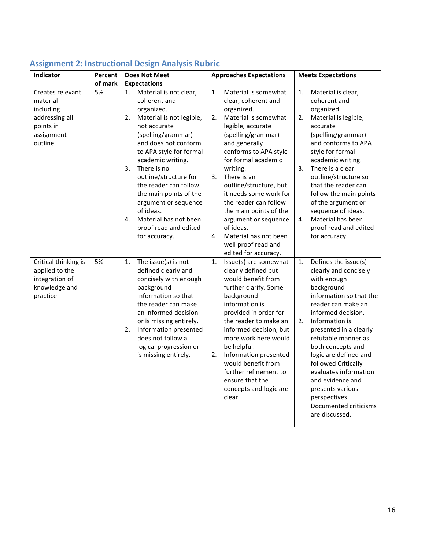| Indicator                                                                                             | Percent | <b>Does Not Meet</b>                                                                                                                                                                                                                                                                                                                                                                                                      | <b>Approaches Expectations</b>                                                                                                                                                                                                                                                                                                                                                                                                               | <b>Meets Expectations</b>                                                                                                                                                                                                                                                                                                                                                                                                          |  |
|-------------------------------------------------------------------------------------------------------|---------|---------------------------------------------------------------------------------------------------------------------------------------------------------------------------------------------------------------------------------------------------------------------------------------------------------------------------------------------------------------------------------------------------------------------------|----------------------------------------------------------------------------------------------------------------------------------------------------------------------------------------------------------------------------------------------------------------------------------------------------------------------------------------------------------------------------------------------------------------------------------------------|------------------------------------------------------------------------------------------------------------------------------------------------------------------------------------------------------------------------------------------------------------------------------------------------------------------------------------------------------------------------------------------------------------------------------------|--|
|                                                                                                       | of mark | <b>Expectations</b>                                                                                                                                                                                                                                                                                                                                                                                                       |                                                                                                                                                                                                                                                                                                                                                                                                                                              |                                                                                                                                                                                                                                                                                                                                                                                                                                    |  |
| Creates relevant<br>$material -$<br>including<br>addressing all<br>points in<br>assignment<br>outline | 5%      | Material is not clear,<br>1.<br>coherent and<br>organized.<br>Material is not legible,<br>2.<br>not accurate<br>(spelling/grammar)<br>and does not conform<br>to APA style for formal<br>academic writing.<br>There is no<br>3.<br>outline/structure for<br>the reader can follow<br>the main points of the<br>argument or sequence<br>of ideas.<br>Material has not been<br>4.<br>proof read and edited<br>for accuracy. | Material is somewhat<br>1.<br>clear, coherent and<br>organized.<br>2.<br>Material is somewhat<br>legible, accurate<br>(spelling/grammar)<br>and generally<br>conforms to APA style<br>for formal academic<br>writing.<br>3.<br>There is an<br>outline/structure, but<br>it needs some work for<br>the reader can follow<br>the main points of the<br>argument or sequence<br>of ideas.<br>Material has not been<br>4.<br>well proof read and | Material is clear,<br>1.<br>coherent and<br>organized.<br>Material is legible,<br>2.<br>accurate<br>(spelling/grammar)<br>and conforms to APA<br>style for formal<br>academic writing.<br>3.<br>There is a clear<br>outline/structure so<br>that the reader can<br>follow the main points<br>of the argument or<br>sequence of ideas.<br>Material has been<br>4.<br>proof read and edited<br>for accuracy.                         |  |
| Critical thinking is<br>applied to the<br>integration of<br>knowledge and<br>practice                 | 5%      | The issue(s) is not<br>1.<br>defined clearly and<br>concisely with enough<br>background<br>information so that<br>the reader can make<br>an informed decision<br>or is missing entirely.<br>Information presented<br>2.<br>does not follow a<br>logical progression or<br>is missing entirely.                                                                                                                            | edited for accuracy.<br>Issue(s) are somewhat<br>1.<br>clearly defined but<br>would benefit from<br>further clarify. Some<br>background<br>information is<br>provided in order for<br>the reader to make an<br>informed decision, but<br>more work here would<br>be helpful.<br>Information presented<br>2.<br>would benefit from<br>further refinement to<br>ensure that the<br>concepts and logic are<br>clear.                            | Defines the issue(s)<br>1.<br>clearly and concisely<br>with enough<br>background<br>information so that the<br>reader can make an<br>informed decision.<br>2.<br>Information is<br>presented in a clearly<br>refutable manner as<br>both concepts and<br>logic are defined and<br>followed Critically<br>evaluates information<br>and evidence and<br>presents various<br>perspectives.<br>Documented criticisms<br>are discussed. |  |

# **Assignment 2: Instructional Design Analysis Rubric**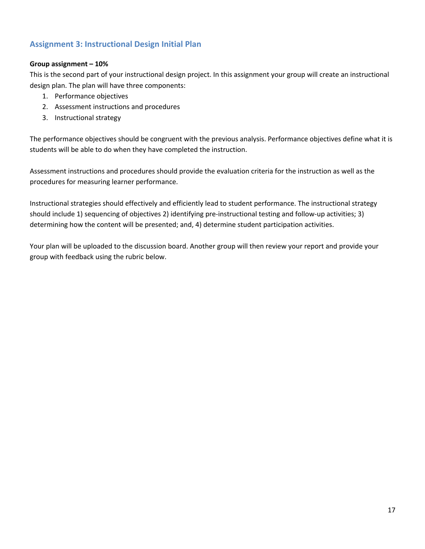## **Assignment 3: Instructional Design Initial Plan**

### **Group assignment – 10%**

This is the second part of your instructional design project. In this assignment your group will create an instructional design plan. The plan will have three components:

- 1. Performance objectives
- 2. Assessment instructions and procedures
- 3. Instructional strategy

The performance objectives should be congruent with the previous analysis. Performance objectives define what it is students will be able to do when they have completed the instruction.

Assessment instructions and procedures should provide the evaluation criteria for the instruction as well as the procedures for measuring learner performance.

Instructional strategies should effectively and efficiently lead to student performance. The instructional strategy should include 1) sequencing of objectives 2) identifying pre-instructional testing and follow-up activities; 3) determining how the content will be presented; and, 4) determine student participation activities.

Your plan will be uploaded to the discussion board. Another group will then review your report and provide your group with feedback using the rubric below.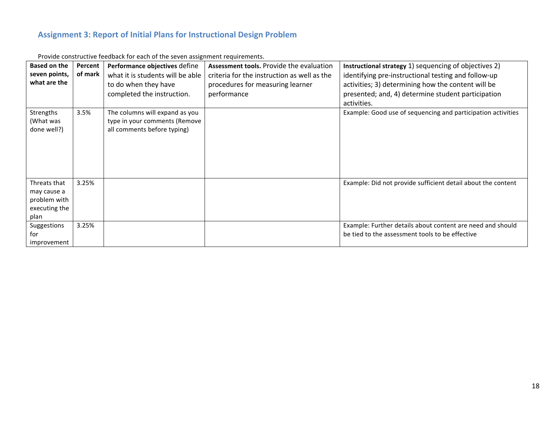## **Assignment 3: Report of Initial Plans for Instructional Design Problem**

| <b>Based on the</b><br>seven points,<br>what are the                 | Percent<br>of mark | Performance objectives define<br>what it is students will be able<br>to do when they have<br>completed the instruction. | Assessment tools. Provide the evaluation<br>criteria for the instruction as well as the<br>procedures for measuring learner<br>performance | Instructional strategy 1) sequencing of objectives 2)<br>identifying pre-instructional testing and follow-up<br>activities; 3) determining how the content will be<br>presented; and, 4) determine student participation<br>activities. |
|----------------------------------------------------------------------|--------------------|-------------------------------------------------------------------------------------------------------------------------|--------------------------------------------------------------------------------------------------------------------------------------------|-----------------------------------------------------------------------------------------------------------------------------------------------------------------------------------------------------------------------------------------|
| Strengths<br>(What was<br>done well?)                                | 3.5%               | The columns will expand as you<br>type in your comments (Remove<br>all comments before typing)                          |                                                                                                                                            | Example: Good use of sequencing and participation activities                                                                                                                                                                            |
| Threats that<br>may cause a<br>problem with<br>executing the<br>plan | 3.25%              |                                                                                                                         |                                                                                                                                            | Example: Did not provide sufficient detail about the content                                                                                                                                                                            |
| Suggestions<br>for<br>improvement                                    | 3.25%              |                                                                                                                         |                                                                                                                                            | Example: Further details about content are need and should<br>be tied to the assessment tools to be effective                                                                                                                           |

Provide constructive feedback for each of the seven assignment requirements.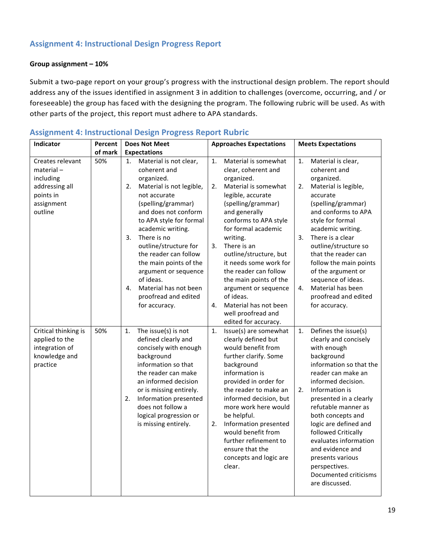## **Assignment 4: Instructional Design Progress Report**

### **Group assignment – 10%**

Submit a two-page report on your group's progress with the instructional design problem. The report should address any of the issues identified in assignment 3 in addition to challenges (overcome, occurring, and / or foreseeable) the group has faced with the designing the program. The following rubric will be used. As with other parts of the project, this report must adhere to APA standards.

| Indicator                                                                                          | Percent | <b>Does Not Meet</b>                                                                                                                                                                                                                                                                                                                                                                                                     | <b>Approaches Expectations</b>                                                                                                                                                                                                                                                                                                                                                                                                           | <b>Meets Expectations</b>                                                                                                                                                                                                                                                                                                                                                                                                          |  |
|----------------------------------------------------------------------------------------------------|---------|--------------------------------------------------------------------------------------------------------------------------------------------------------------------------------------------------------------------------------------------------------------------------------------------------------------------------------------------------------------------------------------------------------------------------|------------------------------------------------------------------------------------------------------------------------------------------------------------------------------------------------------------------------------------------------------------------------------------------------------------------------------------------------------------------------------------------------------------------------------------------|------------------------------------------------------------------------------------------------------------------------------------------------------------------------------------------------------------------------------------------------------------------------------------------------------------------------------------------------------------------------------------------------------------------------------------|--|
|                                                                                                    | of mark | <b>Expectations</b>                                                                                                                                                                                                                                                                                                                                                                                                      |                                                                                                                                                                                                                                                                                                                                                                                                                                          |                                                                                                                                                                                                                                                                                                                                                                                                                                    |  |
| Creates relevant<br>material-<br>including<br>addressing all<br>points in<br>assignment<br>outline | 50%     | Material is not clear,<br>1.<br>coherent and<br>organized.<br>Material is not legible,<br>2.<br>not accurate<br>(spelling/grammar)<br>and does not conform<br>to APA style for formal<br>academic writing.<br>There is no<br>3.<br>outline/structure for<br>the reader can follow<br>the main points of the<br>argument or sequence<br>of ideas.<br>Material has not been<br>4.<br>proofread and edited<br>for accuracy. | Material is somewhat<br>1.<br>clear, coherent and<br>organized.<br>Material is somewhat<br>2.<br>legible, accurate<br>(spelling/grammar)<br>and generally<br>conforms to APA style<br>for formal academic<br>writing.<br>3. There is an<br>outline/structure, but<br>it needs some work for<br>the reader can follow<br>the main points of the<br>argument or sequence<br>of ideas.<br>Material has not been<br>4.<br>well proofread and | 1.<br>Material is clear,<br>coherent and<br>organized.<br>2.<br>Material is legible,<br>accurate<br>(spelling/grammar)<br>and conforms to APA<br>style for formal<br>academic writing.<br>3.<br>There is a clear<br>outline/structure so<br>that the reader can<br>follow the main points<br>of the argument or<br>sequence of ideas.<br>Material has been<br>4.<br>proofread and edited<br>for accuracy.                          |  |
| Critical thinking is<br>applied to the<br>integration of<br>knowledge and<br>practice              | 50%     | The issue(s) is not<br>1.<br>defined clearly and<br>concisely with enough<br>background<br>information so that<br>the reader can make<br>an informed decision<br>or is missing entirely.<br>Information presented<br>2.<br>does not follow a<br>logical progression or<br>is missing entirely.                                                                                                                           | edited for accuracy.<br>Issue(s) are somewhat<br>1.<br>clearly defined but<br>would benefit from<br>further clarify. Some<br>background<br>information is<br>provided in order for<br>the reader to make an<br>informed decision, but<br>more work here would<br>be helpful.<br>Information presented<br>2.<br>would benefit from<br>further refinement to<br>ensure that the<br>concepts and logic are<br>clear.                        | Defines the issue(s)<br>1.<br>clearly and concisely<br>with enough<br>background<br>information so that the<br>reader can make an<br>informed decision.<br>Information is<br>2.<br>presented in a clearly<br>refutable manner as<br>both concepts and<br>logic are defined and<br>followed Critically<br>evaluates information<br>and evidence and<br>presents various<br>perspectives.<br>Documented criticisms<br>are discussed. |  |

### **Assignment 4: Instructional Design Progress Report Rubric**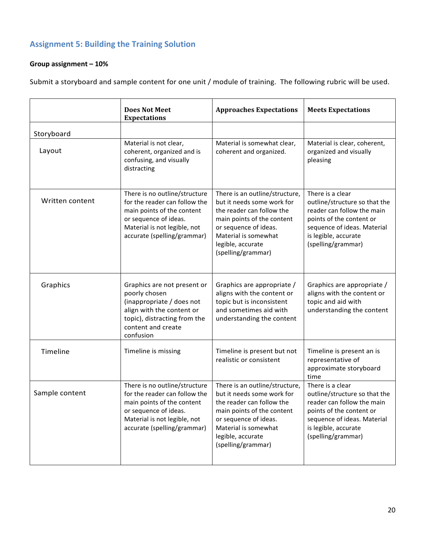## **Assignment 5: Building the Training Solution**

## **Group assignment – 10%**

Submit a storyboard and sample content for one unit / module of training. The following rubric will be used.

|                 | <b>Does Not Meet</b><br><b>Expectations</b>                                                                                                                                          | <b>Approaches Expectations</b>                                                                                                                                                                                      | <b>Meets Expectations</b>                                                                                                                                                                |
|-----------------|--------------------------------------------------------------------------------------------------------------------------------------------------------------------------------------|---------------------------------------------------------------------------------------------------------------------------------------------------------------------------------------------------------------------|------------------------------------------------------------------------------------------------------------------------------------------------------------------------------------------|
| Storyboard      |                                                                                                                                                                                      |                                                                                                                                                                                                                     |                                                                                                                                                                                          |
| Layout          | Material is not clear,<br>coherent, organized and is<br>confusing, and visually<br>distracting                                                                                       | Material is somewhat clear,<br>coherent and organized.                                                                                                                                                              | Material is clear, coherent,<br>organized and visually<br>pleasing                                                                                                                       |
| Written content | There is no outline/structure<br>for the reader can follow the<br>main points of the content<br>or sequence of ideas.<br>Material is not legible, not<br>accurate (spelling/grammar) | There is an outline/structure,<br>but it needs some work for<br>the reader can follow the<br>main points of the content<br>or sequence of ideas.<br>Material is somewhat<br>legible, accurate<br>(spelling/grammar) | There is a clear<br>outline/structure so that the<br>reader can follow the main<br>points of the content or<br>sequence of ideas. Material<br>is legible, accurate<br>(spelling/grammar) |
| Graphics        | Graphics are not present or<br>poorly chosen<br>(inappropriate / does not<br>align with the content or<br>topic), distracting from the<br>content and create<br>confusion            | Graphics are appropriate /<br>aligns with the content or<br>topic but is inconsistent<br>and sometimes aid with<br>understanding the content                                                                        | Graphics are appropriate /<br>aligns with the content or<br>topic and aid with<br>understanding the content                                                                              |
| Timeline        | Timeline is missing                                                                                                                                                                  | Timeline is present but not<br>realistic or consistent                                                                                                                                                              | Timeline is present an is<br>representative of<br>approximate storyboard<br>time                                                                                                         |
| Sample content  | There is no outline/structure<br>for the reader can follow the<br>main points of the content<br>or sequence of ideas.<br>Material is not legible, not<br>accurate (spelling/grammar) | There is an outline/structure,<br>but it needs some work for<br>the reader can follow the<br>main points of the content<br>or sequence of ideas.<br>Material is somewhat<br>legible, accurate<br>(spelling/grammar) | There is a clear<br>outline/structure so that the<br>reader can follow the main<br>points of the content or<br>sequence of ideas. Material<br>is legible, accurate<br>(spelling/grammar) |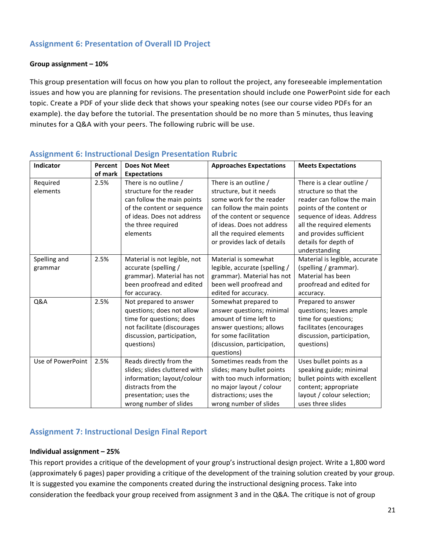## **Assignment 6: Presentation of Overall ID Project**

### **Group assignment – 10%**

This group presentation will focus on how you plan to rollout the project, any foreseeable implementation issues and how you are planning for revisions. The presentation should include one PowerPoint side for each topic. Create a PDF of your slide deck that shows your speaking notes (see our course video PDFs for an example). the day before the tutorial. The presentation should be no more than 5 minutes, thus leaving minutes for a Q&A with your peers. The following rubric will be use.

| Indicator         | Percent | <b>Does Not Meet</b>          | <b>Approaches Expectations</b> | <b>Meets Expectations</b>     |
|-------------------|---------|-------------------------------|--------------------------------|-------------------------------|
|                   | of mark | <b>Expectations</b>           |                                |                               |
| Required          | 2.5%    | There is no outline /         | There is an outline /          | There is a clear outline /    |
| elements          |         | structure for the reader      | structure, but it needs        | structure so that the         |
|                   |         | can follow the main points    | some work for the reader       | reader can follow the main    |
|                   |         | of the content or sequence    | can follow the main points     | points of the content or      |
|                   |         | of ideas. Does not address    | of the content or sequence     | sequence of ideas. Address    |
|                   |         | the three required            | of ideas. Does not address     | all the required elements     |
|                   |         | elements                      | all the required elements      | and provides sufficient       |
|                   |         |                               | or provides lack of details    | details for depth of          |
|                   |         |                               |                                | understanding                 |
| Spelling and      | 2.5%    | Material is not legible, not  | Material is somewhat           | Material is legible, accurate |
| grammar           |         | accurate (spelling /          | legible, accurate (spelling /  | (spelling / grammar).         |
|                   |         | grammar). Material has not    | grammar). Material has not     | Material has been             |
|                   |         | been proofread and edited     | been well proofread and        | proofread and edited for      |
|                   |         | for accuracy.                 | edited for accuracy.           | accuracy.                     |
| Q&A               | 2.5%    | Not prepared to answer        | Somewhat prepared to           | Prepared to answer            |
|                   |         | questions; does not allow     | answer questions; minimal      | questions; leaves ample       |
|                   |         | time for questions; does      | amount of time left to         | time for questions;           |
|                   |         | not facilitate (discourages   | answer questions; allows       | facilitates (encourages       |
|                   |         | discussion, participation,    | for some facilitation          | discussion, participation,    |
|                   |         | questions)                    | (discussion, participation,    | questions)                    |
|                   |         |                               | questions)                     |                               |
| Use of PowerPoint | 2.5%    | Reads directly from the       | Sometimes reads from the       | Uses bullet points as a       |
|                   |         | slides; slides cluttered with | slides; many bullet points     | speaking guide; minimal       |
|                   |         | information; layout/colour    | with too much information;     | bullet points with excellent  |
|                   |         | distracts from the            | no major layout / colour       | content; appropriate          |
|                   |         | presentation; uses the        | distractions; uses the         | layout / colour selection;    |
|                   |         | wrong number of slides        | wrong number of slides         | uses three slides             |

### **Assignment 6: Instructional Design Presentation Rubric**

## **Assignment 7: Instructional Design Final Report**

#### **Individual assignment – 25%**

This report provides a critique of the development of your group's instructional design project. Write a 1,800 word (approximately 6 pages) paper providing a critique of the development of the training solution created by your group. It is suggested you examine the components created during the instructional designing process. Take into consideration the feedback your group received from assignment 3 and in the Q&A. The critique is not of group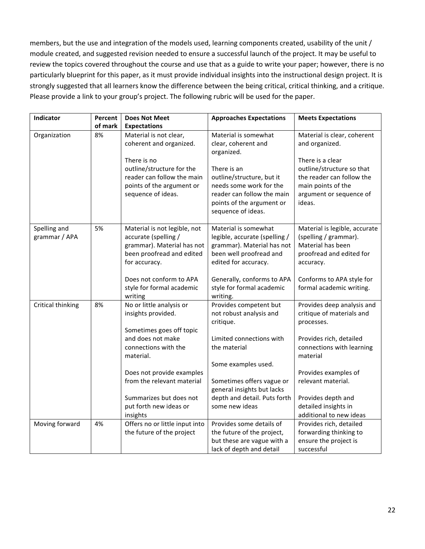members, but the use and integration of the models used, learning components created, usability of the unit / module created, and suggested revision needed to ensure a successful launch of the project. It may be useful to review the topics covered throughout the course and use that as a guide to write your paper; however, there is no particularly blueprint for this paper, as it must provide individual insights into the instructional design project. It is strongly suggested that all learners know the difference between the being critical, critical thinking, and a critique. Please provide a link to your group's project. The following rubric will be used for the paper.

| Indicator                     | Percent<br>of mark | <b>Does Not Meet</b>                                                                                                                                                                                                                                             | <b>Approaches Expectations</b>                                                                                                                                                                                                                 | <b>Meets Expectations</b>                                                                                                                                                                                                                                        |
|-------------------------------|--------------------|------------------------------------------------------------------------------------------------------------------------------------------------------------------------------------------------------------------------------------------------------------------|------------------------------------------------------------------------------------------------------------------------------------------------------------------------------------------------------------------------------------------------|------------------------------------------------------------------------------------------------------------------------------------------------------------------------------------------------------------------------------------------------------------------|
| Organization                  | 8%                 | <b>Expectations</b><br>Material is not clear,<br>coherent and organized.<br>There is no<br>outline/structure for the<br>reader can follow the main<br>points of the argument or<br>sequence of ideas.                                                            | Material is somewhat<br>clear, coherent and<br>organized.<br>There is an<br>outline/structure, but it<br>needs some work for the<br>reader can follow the main<br>points of the argument or<br>sequence of ideas.                              | Material is clear, coherent<br>and organized.<br>There is a clear<br>outline/structure so that<br>the reader can follow the<br>main points of the<br>argument or sequence of<br>ideas.                                                                           |
| Spelling and<br>grammar / APA | 5%                 | Material is not legible, not<br>accurate (spelling /<br>grammar). Material has not<br>been proofread and edited<br>for accuracy.<br>Does not conform to APA<br>style for formal academic<br>writing                                                              | Material is somewhat<br>legible, accurate (spelling /<br>grammar). Material has not<br>been well proofread and<br>edited for accuracy.<br>Generally, conforms to APA<br>style for formal academic<br>writing.                                  | Material is legible, accurate<br>(spelling / grammar).<br>Material has been<br>proofread and edited for<br>accuracy.<br>Conforms to APA style for<br>formal academic writing.                                                                                    |
| Critical thinking             | 8%                 | No or little analysis or<br>insights provided.<br>Sometimes goes off topic<br>and does not make<br>connections with the<br>material.<br>Does not provide examples<br>from the relevant material<br>Summarizes but does not<br>put forth new ideas or<br>insights | Provides competent but<br>not robust analysis and<br>critique.<br>Limited connections with<br>the material<br>Some examples used.<br>Sometimes offers vague or<br>general insights but lacks<br>depth and detail. Puts forth<br>some new ideas | Provides deep analysis and<br>critique of materials and<br>processes.<br>Provides rich, detailed<br>connections with learning<br>material<br>Provides examples of<br>relevant material.<br>Provides depth and<br>detailed insights in<br>additional to new ideas |
| Moving forward                | 4%                 | Offers no or little input into<br>the future of the project                                                                                                                                                                                                      | Provides some details of<br>the future of the project,<br>but these are vague with a<br>lack of depth and detail                                                                                                                               | Provides rich, detailed<br>forwarding thinking to<br>ensure the project is<br>successful                                                                                                                                                                         |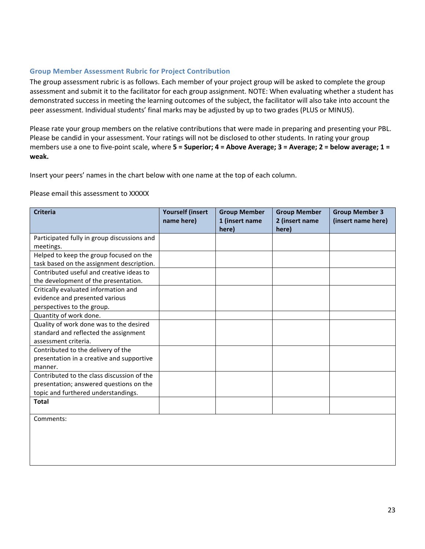#### **Group Member Assessment Rubric for Project Contribution**

The group assessment rubric is as follows. Each member of your project group will be asked to complete the group assessment and submit it to the facilitator for each group assignment. NOTE: When evaluating whether a student has demonstrated success in meeting the learning outcomes of the subject, the facilitator will also take into account the peer assessment. Individual students' final marks may be adjusted by up to two grades (PLUS or MINUS).

Please rate your group members on the relative contributions that were made in preparing and presenting your PBL. Please be candid in your assessment. Your ratings will not be disclosed to other students. In rating your group members use a one to five-point scale, where **5 = Superior; 4 = Above Average; 3 = Average; 2 = below average; 1 = weak.**

Insert your peers' names in the chart below with one name at the top of each column.

#### Please email this assessment to XXXXX

| <b>Criteria</b>                             | <b>Yourself (insert)</b><br>name here) | <b>Group Member</b><br>1 (insert name | <b>Group Member</b><br>2 (insert name | <b>Group Member 3</b><br>(insert name here) |
|---------------------------------------------|----------------------------------------|---------------------------------------|---------------------------------------|---------------------------------------------|
|                                             |                                        | here)                                 | here)                                 |                                             |
| Participated fully in group discussions and |                                        |                                       |                                       |                                             |
| meetings.                                   |                                        |                                       |                                       |                                             |
| Helped to keep the group focused on the     |                                        |                                       |                                       |                                             |
| task based on the assignment description.   |                                        |                                       |                                       |                                             |
| Contributed useful and creative ideas to    |                                        |                                       |                                       |                                             |
| the development of the presentation.        |                                        |                                       |                                       |                                             |
| Critically evaluated information and        |                                        |                                       |                                       |                                             |
| evidence and presented various              |                                        |                                       |                                       |                                             |
| perspectives to the group.                  |                                        |                                       |                                       |                                             |
| Quantity of work done.                      |                                        |                                       |                                       |                                             |
| Quality of work done was to the desired     |                                        |                                       |                                       |                                             |
| standard and reflected the assignment       |                                        |                                       |                                       |                                             |
| assessment criteria.                        |                                        |                                       |                                       |                                             |
| Contributed to the delivery of the          |                                        |                                       |                                       |                                             |
| presentation in a creative and supportive   |                                        |                                       |                                       |                                             |
| manner.                                     |                                        |                                       |                                       |                                             |
| Contributed to the class discussion of the  |                                        |                                       |                                       |                                             |
| presentation; answered questions on the     |                                        |                                       |                                       |                                             |
| topic and furthered understandings.         |                                        |                                       |                                       |                                             |
| <b>Total</b>                                |                                        |                                       |                                       |                                             |
|                                             |                                        |                                       |                                       |                                             |
| $\sim$                                      |                                        |                                       |                                       |                                             |

Comments: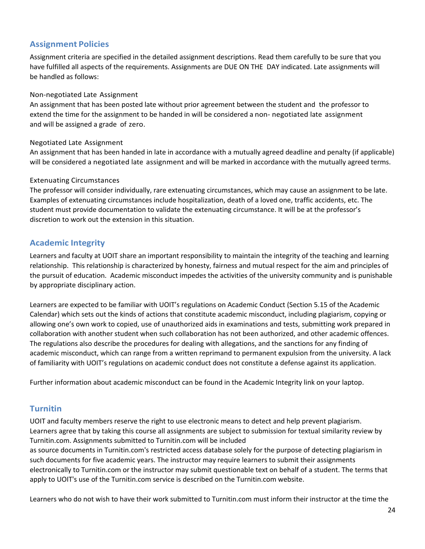## **Assignment Policies**

Assignment criteria are specified in the detailed assignment descriptions. Read them carefully to be sure that you have fulfilled all aspects of the requirements. Assignments are DUE ON THE DAY indicated. Late assignments will be handled as follows:

### Non-negotiated Late Assignment

An assignment that has been posted late without prior agreement between the student and the professor to extend the time for the assignment to be handed in will be considered a non- negotiated late assignment and will be assigned a grade of zero.

### Negotiated Late Assignment

An assignment that has been handed in late in accordance with a mutually agreed deadline and penalty (if applicable) will be considered a negotiated late assignment and will be marked in accordance with the mutually agreed terms.

### Extenuating Circumstances

The professor will consider individually, rare extenuating circumstances, which may cause an assignment to be late. Examples of extenuating circumstances include hospitalization, death of a loved one, traffic accidents, etc. The student must provide documentation to validate the extenuating circumstance. It will be at the professor's discretion to work out the extension in this situation.

## **Academic Integrity**

Learners and faculty at UOIT share an important responsibility to maintain the integrity of the teaching and learning relationship. This relationship is characterized by honesty, fairness and mutual respect for the aim and principles of the pursuit of education. Academic misconduct impedes the activities of the university community and is punishable by appropriate disciplinary action.

Learners are expected to be familiar with UOIT's regulations on Academic Conduct (Section 5.15 of the Academic Calendar) which sets out the kinds of actions that constitute academic misconduct, including plagiarism, copying or allowing one's own work to copied, use of unauthorized aids in examinations and tests, submitting work prepared in collaboration with another student when such collaboration has not been authorized, and other academic offences. The regulations also describe the procedures for dealing with allegations, and the sanctions for any finding of academic misconduct, which can range from a written reprimand to permanent expulsion from the university. A lack of familiarity with UOIT's regulations on academic conduct does not constitute a defense against its application.

Further information about academic misconduct can be found in the Academic Integrity link on your laptop.

### **Turnitin**

UOIT and faculty members reserve the right to use electronic means to detect and help prevent plagiarism. Learners agree that by taking this course all assignments are subject to submission for textual similarity review by Turnitin.com. Assignments submitted to Turnitin.com will be included

as source documents in Turnitin.com's restricted access database solely for the purpose of detecting plagiarism in such documents for five academic years. The instructor may require learners to submit their assignments electronically to Turnitin.com or the instructor may submit questionable text on behalf of a student. The terms that apply to UOIT's use of the Turnitin.com service is described on the Turnitin.com website.

Learners who do not wish to have their work submitted to Turnitin.com must inform their instructor at the time the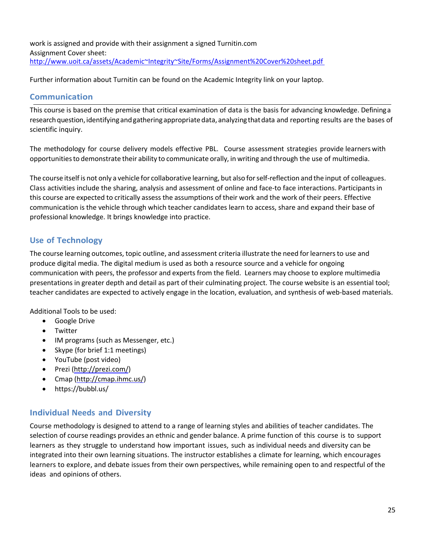work is assigned and provide with their assignment a signed Turnitin.com Assignment Cover sheet: http://www.uoit.ca/assets/Academic~Integrity~Site/Forms/Assignment%20Cover%20sheet.pdf

Further information about Turnitin can be found on the Academic Integrity link on your laptop.

## **Communication**

This course is based on the premise that critical examination of data is the basis for advancing knowledge. Defininga research question, identifying and gathering appropriate data, analyzing that data and reporting results are the bases of scientific inquiry.

The methodology for course delivery models effective PBL. Course assessment strategies provide learners with opportunitiesto demonstrate their ability to communicate orally, in writing and through the use of multimedia.

The course itself is not only a vehicle for collaborative learning, but also forself-reflection and the input of colleagues. Class activities include the sharing, analysis and assessment of online and face-to face interactions. Participants in this course are expected to critically assess the assumptions of their work and the work of their peers. Effective communication is the vehicle through which teacher candidates learn to access, share and expand their base of professional knowledge. It brings knowledge into practice.

## **Use of Technology**

The course learning outcomes, topic outline, and assessment criteria illustrate the need forlearnersto use and produce digital media. The digital medium is used as both a resource source and a vehicle for ongoing communication with peers, the professor and experts from the field. Learners may choose to explore multimedia presentations in greater depth and detail as part of their culminating project. The course website is an essential tool; teacher candidates are expected to actively engage in the location, evaluation, and synthesis of web-based materials.

Additional Tools to be used:

- Google Drive
- Twitter
- IM programs (such as Messenger, etc.)
- Skype (for brief 1:1 meetings)
- YouTube (post video)
- Prezi (http://prezi.com/)
- Cmap (http://cmap.ihmc.us/)
- https://bubbl.us/

## **Individual Needs and Diversity**

Course methodology is designed to attend to a range of learning styles and abilities of teacher candidates. The selection of course readings provides an ethnic and gender balance. A prime function of this course is to support learners as they struggle to understand how important issues, such as individual needs and diversity can be integrated into their own learning situations. The instructor establishes a climate for learning, which encourages learners to explore, and debate issues from their own perspectives, while remaining open to and respectful of the ideas and opinions of others.